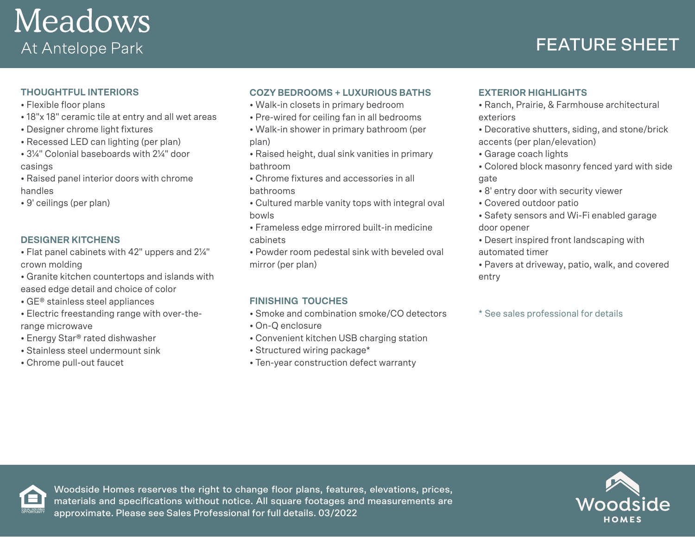

# FEATURE SHEET

# **THOUGHTFUL INTERIORS**

- Flexible floor plans
- 18"x 18" ceramic tile at entry and all wet areas
- Designer chrome light fixtures
- Recessed LED can lighting (per plan)
- 3¼" Colonial baseboards with 2¼" door casings
- Raised panel interior doors with chrome handles
- 9' ceilings (per plan)

## **DESIGNER KITCHENS**

- Flat panel cabinets with 42" uppers and 2¼" crown molding
- Granite kitchen countertops and islands with
- eased edge detail and choice of color
- GE® stainless steel appliances
- Electric freestanding range with over-therange microwave
- Energy Star® rated dishwasher
- Stainless steel undermount sink
- Chrome pull-out faucet

## **COZY BEDROOMS + LUXURIOUS BATHS**

- Walk-in closets in primary bedroom
- Pre-wired for ceiling fan in all bedrooms
- Walk-in shower in primary bathroom (per plan)
- Raised height, dual sink vanities in primary bathroom
- Chrome fixtures and accessories in all bathrooms
- Cultured marble vanity tops with integral oval bowls
- Frameless edge mirrored built-in medicine cabinets
- Powder room pedestal sink with beveled oval mirror (per plan)

## **FINISHING TOUCHES**

- Smoke and combination smoke/CO detectors
- On-Q enclosure
- Convenient kitchen USB charging station
- Structured wiring package\*
- Ten-year construction defect warranty

# **EXTERIOR HIGHLIGHTS**

- Ranch, Prairie, & Farmhouse architectural exteriors
- Decorative shutters, siding, and stone/brick accents (per plan/elevation)
- Garage coach lights
- Colored block masonry fenced yard with side gate
- 8' entry door with security viewer
- Covered outdoor patio
- Safety sensors and Wi-Fi enabled garage door opener
- Desert inspired front landscaping with automated timer
- Pavers at driveway, patio, walk, and covered entry
- \* See sales professional for details



Woodside Homes reserves the right to change floor plans, features, elevations, prices, materials and specifications without notice. All square footages and measurements are approximate. Please see Sales Professional for full details. 03/2022